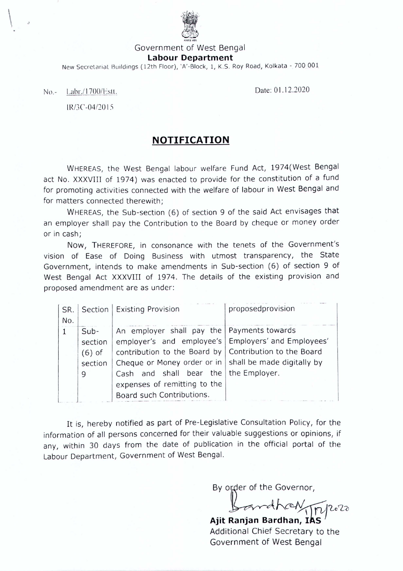

Government of West Bengal

## **labour Department**

New Secretariat Buildings (12th Floor), 'A'-Block, 1, K.S. Roy Road, Kolkata - 700 001

No.- Labr./1700/Estt. 2020

,

المستعملون

IR/3C-04/2015

## **NOTIFICATION**

WHEREAS, the West Bengal labour welfare Fund Act, 1974(West Bengal act No. XXXVIII of 1974) was enacted to provide for the constitution of a fund for promoting activities connected with the welfare of labour in West Bengal and for matters connected therewith;

WHEREAS, the Sub-section (6) of section 9 of the said Act envisages that an employer shall pay the Contribution to the Board by cheque or money order or in cash;

Now, THEREFORE, in consonance with the tenets of the Government's vision of Ease of Doing Business with utmost transparency, the State Government, intends to make amendments in Sub-section (6) of section 9 of West Bengal Act XXXVIII of 1974. The details of the existing provision and proposed amendment are as under:

| SR.         |          | Section   Existing Provision                             | proposedprovision |
|-------------|----------|----------------------------------------------------------|-------------------|
| No.         |          |                                                          |                   |
| $\mathbf 1$ | $Sub-$   | An employer shall pay the   Payments towards             |                   |
|             | section  | employer's and employee's   Employers' and Employees'    |                   |
|             | $(6)$ of | contribution to the Board by   Contribution to the Board |                   |
|             | section  | Cheque or Money order or in   shall be made digitally by |                   |
|             | 9        | Cash and shall bear the   the Employer.                  |                   |
|             |          | expenses of remitting to the                             |                   |
|             |          | Board such Contributions.                                |                   |

It is, hereby notified as part of Pre-Legislative Consultation Policy, for the information of all persons concerned for their valuable suggestions or opinions, if any, within 30 days from the date of publication in the official portal of the Labour Department, Government of West Bengal.

By order of the Governor,

*~~~'Le'2~* **Ajit Ranjan Bardhan,** *ik'sv <sup>J</sup>* Additional Chief Secretary to the Government of West Bengal